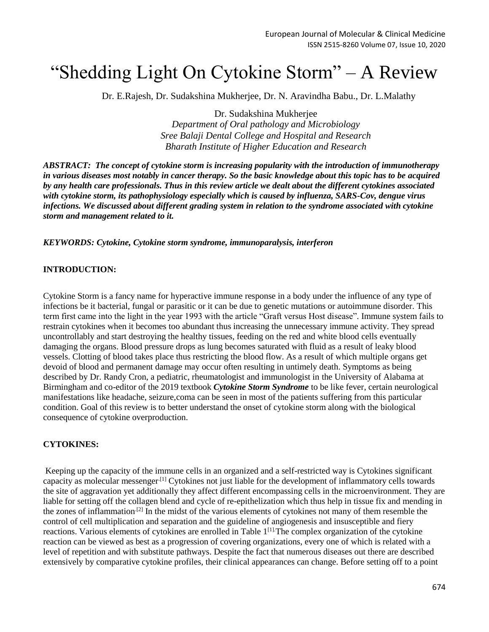# "Shedding Light On Cytokine Storm" – A Review

Dr. E.Rajesh, Dr. Sudakshina Mukherjee, Dr. N. Aravindha Babu., Dr. L.Malathy

Dr. Sudakshina Mukherjee

*Department of Oral pathology and Microbiology Sree Balaji Dental College and Hospital and Research Bharath Institute of Higher Education and Research*

*ABSTRACT: The concept of cytokine storm is increasing popularity with the introduction of immunotherapy in various diseases most notably in cancer therapy. So the basic knowledge about this topic has to be acquired by any health care professionals. Thus in this review article we dealt about the different cytokines associated with cytokine storm, its pathophysiology especially which is caused by influenza, SARS-Cov, dengue virus infections. We discussed about different grading system in relation to the syndrome associated with cytokine storm and management related to it.*

*KEYWORDS: Cytokine, Cytokine storm syndrome, immunoparalysis, interferon*

#### **INTRODUCTION:**

Cytokine Storm is a fancy name for hyperactive immune response in a body under the influence of any type of infections be it bacterial, fungal or parasitic or it can be due to genetic mutations or autoimmune disorder. This term first came into the light in the year 1993 with the article "Graft versus Host disease". Immune system fails to restrain cytokines when it becomes too abundant thus increasing the unnecessary immune activity. They spread uncontrollably and start destroying the healthy tissues, feeding on the red and white blood cells eventually damaging the organs. Blood pressure drops as lung becomes saturated with fluid as a result of leaky blood vessels. Clotting of blood takes place thus restricting the blood flow. As a result of which multiple organs get devoid of blood and permanent damage may occur often resulting in untimely death. Symptoms as being described by Dr. Randy Cron, a pediatric, rheumatologist and immunologist in the University of Alabama at Birmingham and co-editor of the 2019 textbook *[Cytokine Storm Syndrome](https://www.springer.com/gp/book/9783030220938)* to be like fever, certain neurological manifestations like headache, seizure,coma can be seen in most of the patients suffering from this particular condition. Goal of this review is to better understand the onset of cytokine storm along with the biological consequence of cytokine overproduction.

## **CYTOKINES:**

Keeping up the capacity of the immune cells in an organized and a self-restricted way is Cytokines significant capacity as molecular messenger.[1] Cytokines not just liable for the development of inflammatory cells towards the site of aggravation yet additionally they affect different encompassing cells in the microenvironment. They are liable for setting off the collagen blend and cycle of re-epithelization which thus help in tissue fix and mending in the zones of inflammation<sup>[2]</sup> In the midst of the various elements of cytokines not many of them resemble the control of cell multiplication and separation and the guideline of angiogenesis and insusceptible and fiery reactions. Various elements of cytokines are enrolled in Table 1[1].The complex organization of the cytokine reaction can be viewed as best as a progression of covering organizations, every one of which is related with a level of repetition and with substitute pathways. Despite the fact that numerous diseases out there are described extensively by comparative cytokine profiles, their clinical appearances can change. Before setting off to a point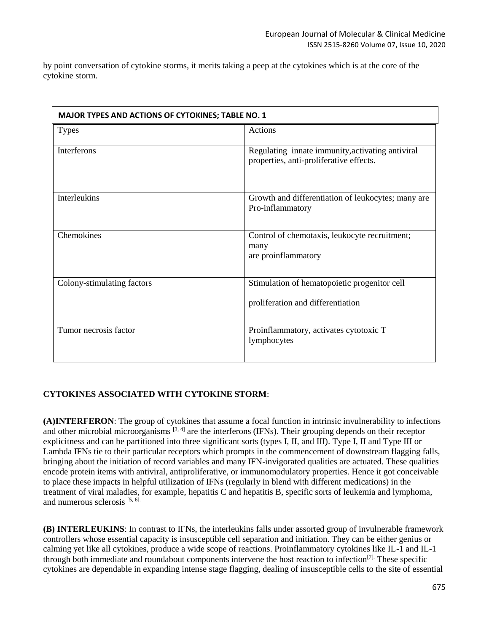by point conversation of cytokine storms, it merits taking a peep at the cytokines which is at the core of the cytokine storm.

| MAJOR TYPES AND ACTIONS OF CYTOKINES; TABLE NO. 1 |                                                                                             |  |
|---------------------------------------------------|---------------------------------------------------------------------------------------------|--|
| <b>Types</b>                                      | Actions                                                                                     |  |
| Interferons                                       | Regulating innate immunity, activating antiviral<br>properties, anti-proliferative effects. |  |
| Interleukins                                      | Growth and differentiation of leukocytes; many are<br>Pro-inflammatory                      |  |
| Chemokines                                        | Control of chemotaxis, leukocyte recruitment;<br>many<br>are proinflammatory                |  |
| Colony-stimulating factors                        | Stimulation of hematopoietic progenitor cell<br>proliferation and differentiation           |  |
| Tumor necrosis factor                             | Proinflammatory, activates cytotoxic T<br>lymphocytes                                       |  |

# **CYTOKINES ASSOCIATED WITH CYTOKINE STORM**:

**(A)INTERFERON**: The group of cytokines that assume a focal function in intrinsic invulnerability to infections and other microbial microorganisms [3, 4] are the interferons (IFNs). Their grouping depends on their receptor explicitness and can be partitioned into three significant sorts (types I, II, and III). Type I, II and Type III or Lambda IFNs tie to their particular receptors which prompts in the commencement of downstream flagging falls, bringing about the initiation of record variables and many IFN-invigorated qualities are actuated. These qualities encode protein items with antiviral, antiproliferative, or immunomodulatory properties. Hence it got conceivable to place these impacts in helpful utilization of IFNs (regularly in blend with different medications) in the treatment of viral maladies, for example, hepatitis C and hepatitis B, specific sorts of leukemia and lymphoma, and numerous sclerosis [5, 6].

**(B) INTERLEUKINS**: In contrast to IFNs, the interleukins falls under assorted group of invulnerable framework controllers whose essential capacity is insusceptible cell separation and initiation. They can be either genius or calming yet like all cytokines, produce a wide scope of reactions. Proinflammatory cytokines like IL-1 and IL-1 through both immediate and roundabout components intervene the host reaction to infection[7]. These specific cytokines are dependable in expanding intense stage flagging, dealing of insusceptible cells to the site of essential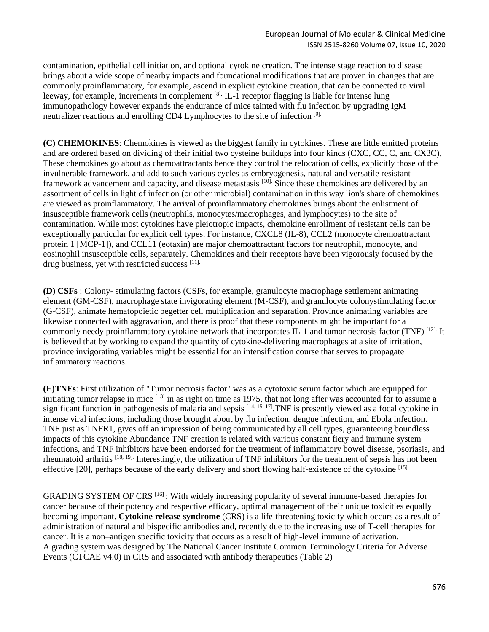contamination, epithelial cell initiation, and optional cytokine creation. The intense stage reaction to disease brings about a wide scope of nearby impacts and foundational modifications that are proven in changes that are commonly proinflammatory, for example, ascend in explicit cytokine creation, that can be connected to viral leeway, for example, increments in complement  $^{[8]}$ . IL-1 receptor flagging is liable for intense lung immunopathology however expands the endurance of mice tainted with flu infection by upgrading IgM neutralizer reactions and enrolling CD4 Lymphocytes to the site of infection [9].

**(C) CHEMOKINES**: Chemokines is viewed as the biggest family in cytokines. These are little emitted proteins and are ordered based on dividing of their initial two cysteine buildups into four kinds (CXC, CC, C, and CX3C), These chemokines go about as chemoattractants hence they control the relocation of cells, explicitly those of the invulnerable framework, and add to such various cycles as embryogenesis, natural and versatile resistant framework advancement and capacity, and disease metastasis [10]. Since these chemokines are delivered by an assortment of cells in light of infection (or other microbial) contamination in this way lion's share of chemokines are viewed as proinflammatory. The arrival of proinflammatory chemokines brings about the enlistment of insusceptible framework cells (neutrophils, monocytes/macrophages, and lymphocytes) to the site of contamination. While most cytokines have pleiotropic impacts, chemokine enrollment of resistant cells can be exceptionally particular for explicit cell types. For instance, CXCL8 (IL-8), CCL2 (monocyte chemoattractant protein 1 [MCP-1]), and CCL11 (eotaxin) are major chemoattractant factors for neutrophil, monocyte, and eosinophil insusceptible cells, separately. Chemokines and their receptors have been vigorously focused by the drug business, yet with restricted success [11].

**(D) CSFs** : Colony- stimulating factors (CSFs, for example, granulocyte macrophage settlement animating element (GM-CSF), macrophage state invigorating element (M-CSF), and granulocyte colonystimulating factor (G-CSF), animate hematopoietic begetter cell multiplication and separation. Province animating variables are likewise connected with aggravation, and there is proof that these components might be important for a commonly needy proinflammatory cytokine network that incorporates IL-1 and tumor necrosis factor (TNF) [12]. It is believed that by working to expand the quantity of cytokine-delivering macrophages at a site of irritation, province invigorating variables might be essential for an intensification course that serves to propagate inflammatory reactions.

**(E)TNFs**: First utilization of "Tumor necrosis factor" was as a cytotoxic serum factor which are equipped for initiating tumor relapse in mice <sup>[13]</sup> in as right on time as 1975, that not long after was accounted for to assume a significant function in pathogenesis of malaria and sepsis <sup>[14, 15, 17]</sup>. TNF is presently viewed as a focal cytokine in intense viral infections, including those brought about by flu infection, dengue infection, and Ebola infection. TNF just as TNFR1, gives off an impression of being communicated by all cell types, guaranteeing boundless impacts of this cytokine Abundance TNF creation is related with various constant fiery and immune system infections, and TNF inhibitors have been endorsed for the treatment of inflammatory bowel disease, psoriasis, and rheumatoid arthritis [18, 19]. Interestingly, the utilization of TNF inhibitors for the treatment of sepsis has not been effective [20], perhaps because of the early delivery and short flowing half-existence of the cytokine [15].

GRADING SYSTEM OF CRS<sup>[16]</sup>: With widely increasing popularity of several immune-based therapies for cancer because of their potency and respective efficacy, optimal management of their unique toxicities equally becoming important. **Cytokine release syndrome** (CRS) is a life-threatening toxicity which occurs as a result of administration of natural and bispecific antibodies and, recently due to the increasing use of T-cell therapies for cancer. It is a non–antigen specific toxicity that occurs as a result of high-level immune of activation. A grading system was designed by The National Cancer Institute Common Terminology Criteria for Adverse Events (CTCAE v4.0) in CRS and associated with antibody therapeutics (Table 2)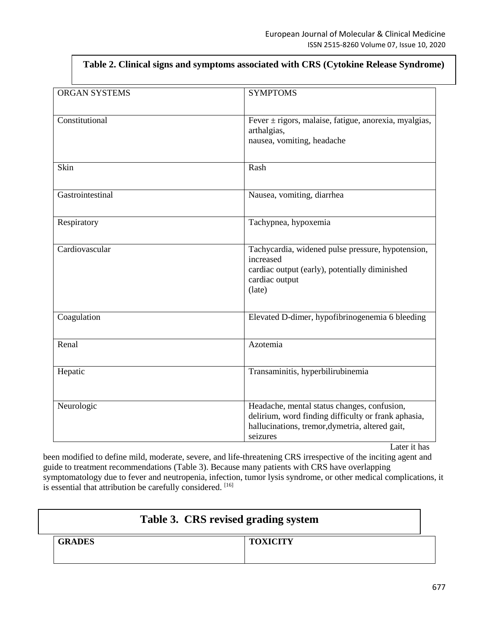| <b>ORGAN SYSTEMS</b> | <b>SYMPTOMS</b>                                                                                                                                                                   |
|----------------------|-----------------------------------------------------------------------------------------------------------------------------------------------------------------------------------|
| Constitutional       | Fever $\pm$ rigors, malaise, fatigue, anorexia, myalgias,<br>arthalgias,<br>nausea, vomiting, headache                                                                            |
| Skin                 | Rash                                                                                                                                                                              |
| Gastrointestinal     | Nausea, vomiting, diarrhea                                                                                                                                                        |
| Respiratory          | Tachypnea, hypoxemia                                                                                                                                                              |
| Cardiovascular       | Tachycardia, widened pulse pressure, hypotension,<br>increased<br>cardiac output (early), potentially diminished<br>cardiac output<br>(late)                                      |
| Coagulation          | Elevated D-dimer, hypofibrinogenemia 6 bleeding                                                                                                                                   |
| Renal                | Azotemia                                                                                                                                                                          |
| Hepatic              | Transaminitis, hyperbilirubinemia                                                                                                                                                 |
| Neurologic           | Headache, mental status changes, confusion,<br>delirium, word finding difficulty or frank aphasia,<br>hallucinations, tremor, dymetria, altered gait,<br>seizures<br>Later it has |

**Table 2. Clinical signs and symptoms associated with CRS (Cytokine Release Syndrome)**

been modified to define mild, moderate, severe, and life-threatening CRS irrespective of the inciting agent and guide to treatment recommendations (Table 3). Because many patients with CRS have overlapping symptomatology due to fever and neutropenia, infection, tumor lysis syndrome, or other medical complications, it is essential that attribution be carefully considered. [16]

| Table 3. CRS revised grading system |               |                 |
|-------------------------------------|---------------|-----------------|
|                                     | <b>GRADES</b> | <b>TOXICITY</b> |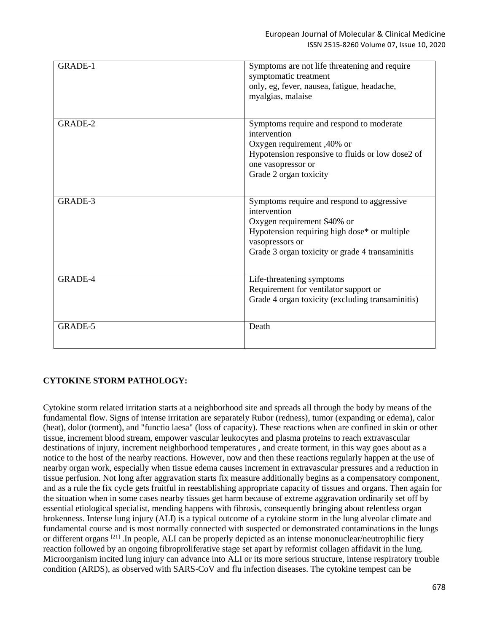| <b>GRADE-1</b> | Symptoms are not life threatening and require<br>symptomatic treatment<br>only, eg, fever, nausea, fatigue, headache,<br>myalgias, malaise                                                                      |
|----------------|-----------------------------------------------------------------------------------------------------------------------------------------------------------------------------------------------------------------|
| GRADE-2        | Symptoms require and respond to moderate<br>intervention<br>Oxygen requirement, 40% or<br>Hypotension responsive to fluids or low dose2 of<br>one vasopressor or<br>Grade 2 organ toxicity                      |
| GRADE-3        | Symptoms require and respond to aggressive<br>intervention<br>Oxygen requirement \$40% or<br>Hypotension requiring high dose* or multiple<br>vasopressors or<br>Grade 3 organ toxicity or grade 4 transaminitis |
| GRADE-4        | Life-threatening symptoms<br>Requirement for ventilator support or<br>Grade 4 organ toxicity (excluding transaminitis)                                                                                          |
| GRADE-5        | Death                                                                                                                                                                                                           |

# **CYTOKINE STORM PATHOLOGY:**

Cytokine storm related irritation starts at a neighborhood site and spreads all through the body by means of the fundamental flow. Signs of intense irritation are separately Rubor (redness), tumor (expanding or edema), calor (heat), dolor (torment), and "functio laesa" (loss of capacity). These reactions when are confined in skin or other tissue, increment blood stream, empower vascular leukocytes and plasma proteins to reach extravascular destinations of injury, increment neighborhood temperatures , and create torment, in this way goes about as a notice to the host of the nearby reactions. However, now and then these reactions regularly happen at the use of nearby organ work, especially when tissue edema causes increment in extravascular pressures and a reduction in tissue perfusion. Not long after aggravation starts fix measure additionally begins as a compensatory component, and as a rule the fix cycle gets fruitful in reestablishing appropriate capacity of tissues and organs. Then again for the situation when in some cases nearby tissues get harm because of extreme aggravation ordinarily set off by essential etiological specialist, mending happens with fibrosis, consequently bringing about relentless organ brokenness. Intense lung injury (ALI) is a typical outcome of a cytokine storm in the lung alveolar climate and fundamental course and is most normally connected with suspected or demonstrated contaminations in the lungs or different organs [21] .In people, ALI can be properly depicted as an intense mononuclear/neutrophilic fiery reaction followed by an ongoing fibroproliferative stage set apart by reformist collagen affidavit in the lung. Microorganism incited lung injury can advance into ALI or its more serious structure, intense respiratory trouble condition (ARDS), as observed with SARS-CoV and flu infection diseases. The cytokine tempest can be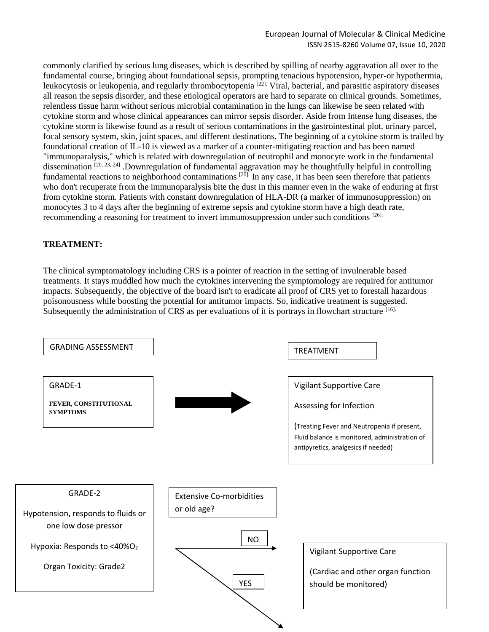commonly clarified by serious lung diseases, which is described by spilling of nearby aggravation all over to the fundamental course, bringing about foundational sepsis, prompting tenacious hypotension, hyper-or hypothermia, leukocytosis or leukopenia, and regularly thrombocytopenia <sup>[22]</sup>. Viral, bacterial, and parasitic aspiratory diseases all reason the sepsis disorder, and these etiological operators are hard to separate on clinical grounds. Sometimes, relentless tissue harm without serious microbial contamination in the lungs can likewise be seen related with cytokine storm and whose clinical appearances can mirror sepsis disorder. Aside from Intense lung diseases, the cytokine storm is likewise found as a result of serious contaminations in the gastrointestinal plot, urinary parcel, focal sensory system, skin, joint spaces, and different destinations. The beginning of a cytokine storm is trailed by foundational creation of IL-10 is viewed as a marker of a counter-mitigating reaction and has been named "immunoparalysis," which is related with downregulation of neutrophil and monocyte work in the fundamental dissemination  $[20, 23, 24]$ . Downregulation of fundamental aggravation may be thoughtfully helpful in controlling fundamental reactions to neighborhood contaminations <sup>[25]</sup>. In any case, it has been seen therefore that patients who don't recuperate from the immunoparalysis bite the dust in this manner even in the wake of enduring at first from cytokine storm. Patients with constant downregulation of HLA-DR (a marker of immunosuppression) on monocytes 3 to 4 days after the beginning of extreme sepsis and cytokine storm have a high death rate, recommending a reasoning for treatment to invert immunosuppression under such conditions [26].

## **TREATMENT:**

The clinical symptomatology including CRS is a pointer of reaction in the setting of invulnerable based treatments. It stays muddled how much the cytokines intervening the symptomology are required for antitumor impacts. Subsequently, the objective of the board isn't to eradicate all proof of CRS yet to forestall hazardous poisonousness while boosting the potential for antitumor impacts. So, indicative treatment is suggested. Subsequently the administration of CRS as per evaluations of it is portrays in flowchart structure [16].

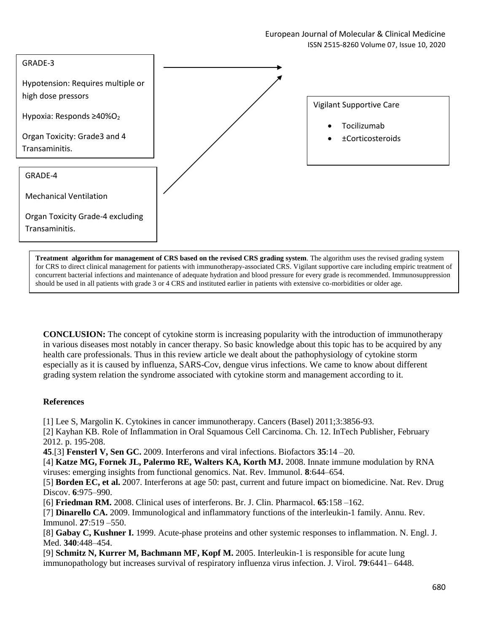

**Treatment algorithm for management of CRS based on the revised CRS grading system**. The algorithm uses the revised grading system for CRS to direct clinical management for patients with immunotherapy-associated CRS. Vigilant supportive care including empiric treatment of concurrent bacterial infections and maintenance of adequate hydration and blood pressure for every grade is recommended. Immunosuppression should be used in all patients with grade 3 or 4 CRS and instituted earlier in patients with extensive co-morbidities or older age.

**CONCLUSION:** The concept of cytokine storm is increasing popularity with the introduction of immunotherapy in various diseases most notably in cancer therapy. So basic knowledge about this topic has to be acquired by any health care professionals. Thus in this review article we dealt about the pathophysiology of cytokine storm especially as it is caused by influenza, SARS-Cov, dengue virus infections. We came to know about different grading system relation the syndrome associated with cytokine storm and management according to it.

#### **References**

[1] Lee S, Margolin K. Cytokines in cancer immunotherapy. Cancers (Basel) 2011;3:3856-93.

[2] Kayhan KB. Role of Inflammation in Oral Squamous Cell Carcinoma. Ch. 12. InTech Publisher, February 2012. p. 195-208.

**45**.[3] **Fensterl V, Sen GC.** 2009. Interferons and viral infections. Biofactors **35**:14 –20.

[4] **Katze MG, Fornek JL, Palermo RE, Walters KA, Korth MJ.** 2008. Innate immune modulation by RNA viruses: emerging insights from functional genomics. Nat. Rev. Immunol. **8**:644–654.

[5] **Borden EC, et al.** 2007. Interferons at age 50: past, current and future impact on biomedicine. Nat. Rev. Drug Discov. **6**:975–990.

[6] **Friedman RM.** 2008. Clinical uses of interferons. Br. J. Clin. Pharmacol. **65**:158 –162.

[7] **Dinarello CA.** 2009. Immunological and inflammatory functions of the interleukin-1 family. Annu. Rev. Immunol. **27**:519 –550.

[8] **Gabay C, Kushner I.** 1999. Acute-phase proteins and other systemic responses to inflammation. N. Engl. J. Med. **340**:448–454.

[9] **Schmitz N, Kurrer M, Bachmann MF, Kopf M.** 2005. Interleukin-1 is responsible for acute lung immunopathology but increases survival of respiratory influenza virus infection. J. Virol. **79**:6441– 6448.